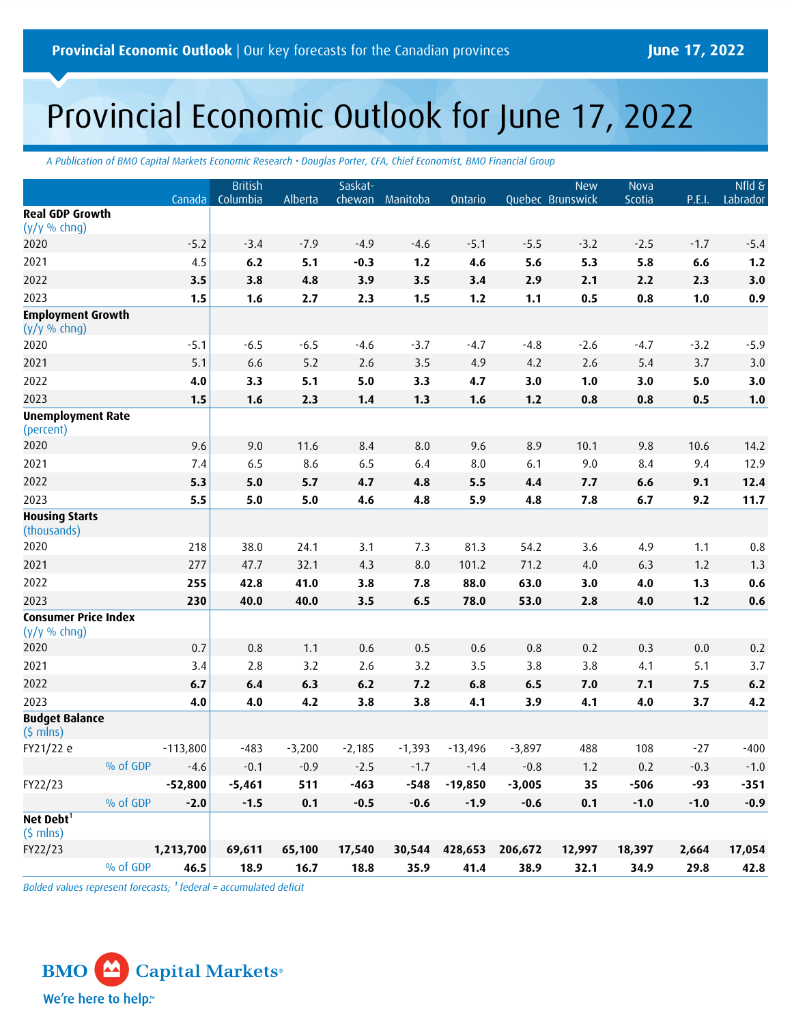# Provincial Economic Outlook for June 17, 2022

*A Publication of BMO Capital Markets Economic Research • Douglas Porter, CFA, Chief Economist, BMO Financial Group*

|                                                |          | Canada     | <b>British</b><br>Columbia | Alberta  | Saskat-  | chewan Manitoba | Ontario   |          | <b>New</b><br>Quebec Brunswick | Nova<br>Scotia | P.E.I. | $Mld$ &<br>Labrador |
|------------------------------------------------|----------|------------|----------------------------|----------|----------|-----------------|-----------|----------|--------------------------------|----------------|--------|---------------------|
| <b>Real GDP Growth</b><br>$(y/y \% chng)$      |          |            |                            |          |          |                 |           |          |                                |                |        |                     |
| 2020                                           |          | $-5.2$     | $-3.4$                     | $-7.9$   | $-4.9$   | $-4.6$          | $-5.1$    | $-5.5$   | $-3.2$                         | $-2.5$         | $-1.7$ | $-5.4$              |
| 2021                                           |          | 4.5        | 6.2                        | 5.1      | $-0.3$   | $1.2$           | 4.6       | 5.6      | 5.3                            | 5.8            | 6.6    | 1.2                 |
| 2022                                           |          | 3.5        | 3.8                        | 4.8      | 3.9      | 3.5             | 3.4       | 2.9      | 2.1                            | 2.2            | 2.3    | 3.0                 |
| 2023                                           |          | 1.5        | 1.6                        | 2.7      | 2.3      | 1.5             | $1.2$     | 1.1      | 0.5                            | 0.8            | 1.0    | 0.9                 |
| <b>Employment Growth</b><br>$(y/y \%$ chng)    |          |            |                            |          |          |                 |           |          |                                |                |        |                     |
| 2020                                           |          | $-5.1$     | $-6.5$                     | $-6.5$   | $-4.6$   | $-3.7$          | $-4.7$    | $-4.8$   | $-2.6$                         | $-4.7$         | $-3.2$ | $-5.9$              |
| 2021                                           |          | 5.1        | 6.6                        | 5.2      | 2.6      | 3.5             | 4.9       | 4.2      | 2.6                            | 5.4            | 3.7    | 3.0                 |
| 2022                                           |          | 4.0        | 3.3                        | 5.1      | 5.0      | 3.3             | 4.7       | 3.0      | 1.0                            | 3.0            | 5.0    | 3.0                 |
| 2023                                           |          | 1.5        | 1.6                        | 2.3      | 1.4      | 1.3             | 1.6       | 1.2      | 0.8                            | 0.8            | 0.5    | 1.0                 |
| <b>Unemployment Rate</b><br>(percent)          |          |            |                            |          |          |                 |           |          |                                |                |        |                     |
| 2020                                           |          | 9.6        | 9.0                        | 11.6     | 8.4      | 8.0             | 9.6       | 8.9      | 10.1                           | 9.8            | 10.6   | 14.2                |
| 2021                                           |          | 7.4        | 6.5                        | 8.6      | 6.5      | $6.4$           | 8.0       | 6.1      | 9.0                            | 8.4            | 9.4    | 12.9                |
| 2022                                           |          | 5.3        | 5.0                        | 5.7      | 4.7      | 4.8             | 5.5       | 4.4      | 7.7                            | 6.6            | 9.1    | 12.4                |
| 2023                                           |          | 5.5        | 5.0                        | 5.0      | 4.6      | 4.8             | 5.9       | 4.8      | 7.8                            | 6.7            | 9.2    | 11.7                |
| <b>Housing Starts</b><br>(thousands)           |          |            |                            |          |          |                 |           |          |                                |                |        |                     |
| 2020                                           |          | 218        | 38.0                       | 24.1     | 3.1      | 7.3             | 81.3      | 54.2     | 3.6                            | 4.9            | 1.1    | 0.8                 |
| 2021                                           |          | 277        | 47.7                       | 32.1     | 4.3      | 8.0             | 101.2     | 71.2     | 4.0                            | 6.3            | 1.2    | 1.3                 |
| 2022                                           |          | 255        | 42.8                       | 41.0     | 3.8      | 7.8             | 88.0      | 63.0     | 3.0                            | 4.0            | 1.3    | 0.6                 |
| 2023                                           |          | 230        | 40.0                       | 40.0     | 3.5      | 6.5             | 78.0      | 53.0     | 2.8                            | 4.0            | 1.2    | 0.6                 |
| <b>Consumer Price Index</b><br>$(y/y \% chng)$ |          |            |                            |          |          |                 |           |          |                                |                |        |                     |
| 2020                                           |          | 0.7        | 0.8                        | 1.1      | 0.6      | 0.5             | 0.6       | 0.8      | 0.2                            | 0.3            | 0.0    | 0.2                 |
| 2021                                           |          | 3.4        | 2.8                        | 3.2      | 2.6      | 3.2             | 3.5       | 3.8      | 3.8                            | 4.1            | 5.1    | 3.7                 |
| 2022                                           |          | 6.7        | 6.4                        | 6.3      | 6.2      | 7.2             | 6.8       | 6.5      | 7.0                            | 7.1            | 7.5    | 6.2                 |
| 2023                                           |          | 4.0        | 4.0                        | 4.2      | 3.8      | 3.8             | 4.1       | 3.9      | 4.1                            | 4.0            | 3.7    | 4.2                 |
| <b>Budget Balance</b><br>$(5 \text{ mins})$    |          |            |                            |          |          |                 |           |          |                                |                |        |                     |
| FY21/22 e                                      |          | $-113,800$ | $-483$                     | $-3,200$ | $-2,185$ | $-1,393$        | $-13,496$ | $-3,897$ | 488                            | 108            | $-27$  | $-400$              |
|                                                | % of GDP | $-4.6$     | $-0.1$                     | $-0.9$   | $-2.5$   | $-1.7$          | $-1.4$    | $-0.8$   | 1.2                            | 0.2            | $-0.3$ | $-1.0$              |
| FY22/23                                        |          | $-52,800$  | $-5,461$                   | 511      | $-463$   | $-548$          | $-19,850$ | $-3,005$ | 35                             | $-506$         | $-93$  | $-351$              |
|                                                | % of GDP | $-2.0$     | $-1.5$                     | 0.1      | $-0.5$   | $-0.6$          | $-1.9$    | $-0.6$   | 0.1                            | $-1.0$         | $-1.0$ | $-0.9$              |
| Net Debt <sup>1</sup><br>$(5 \text{ mins})$    |          |            |                            |          |          |                 |           |          |                                |                |        |                     |
| FY22/23                                        |          | 1,213,700  | 69,611                     | 65,100   | 17,540   | 30,544          | 428,653   | 206,672  | 12,997                         | 18,397         | 2,664  | 17,054              |
|                                                | % of GDP | 46.5       | 18.9                       | 16.7     | 18.8     | 35.9            | 41.4      | 38.9     | 32.1                           | 34.9           | 29.8   | 42.8                |

*Bolded values represent forecasts; <sup>1</sup> federal = accumulated deficit*